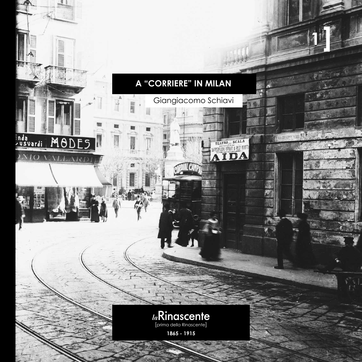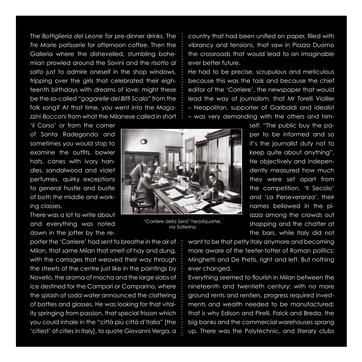The *Bottiglieria del Leone* for pre-dinner drinks. The *Tre Marie* patisserie for afternoon coffee. Then the Galleria where the dishevelled, stumbling bohemian prowled around the Savini and the *risotto al salto* just to admire oneself in the shop windows, tripping over the girls that celebrated their eighteenth birthdays with dreams of love: might these be the so-called *"gagarelle del Biffi Scala"* from the folk song? At that time, you went into the *Magazzini Bocconi* from what the Milanese called in short

'il Corso' or from the corner of Santa Radegonda and sometimes you would stop to examine the outfits, bowler hats, canes with ivory handles, sandalwood and violet perfumes, quirky exceptions to general hustle and bustle of both the middle and working classes.

There was a lot to write about and everything was noted down in the jotter by the re-

porter the 'Corriere' had sent to breathe in the air of Milan, that same Milan that smelt of hay and dung, with the carriages that weaved their way through the streets of the centre just like in the paintings by Novello, the aroma of mocha and the large slabs of ice destined for the Campari or Camparino, where the splash of soda water announced the clattering of bottles and glasses. He was looking for that vitality springing from passion, that special frisson which you could inhale in the "città più città d'Italia" [the 'citiest' of cities in Italy], to quote Giovanni Verga, a country that had been unified on paper, filled with vibrancy and tensions, that saw in Piazza Duomo the crossroads that would lead to an imaginable ever better future.

He had to be precise, scrupulous and meticulous because this was the task and because the chief editor of the 'Corriere', the newspaper that would lead the way of journalism, that Mr Torelli Viollier – Neapolitan, supporter of Garibaldi and idealist – was very demanding with the others and him-

> self: "The public buy the paper to be informed and so it's the journalist duty not to keep quite about anything". He objectively and independently measured how much they were set apart from the competition, 'Il Secolo' and 'La Perseveranza', their names bellowed in the piazza among the crowds out shopping and the chatter at the bars, while Italy did not

![](_page_1_Picture_7.jpeg)

"Corriere della Sera" headquarter, via Solferino

want to be that petty Italy anymore and becoming more aware of the teeter-totter of Roman politics: Minghetti and De Pretis, right and left. But nothing ever changed.

Everything seemed to flourish in Milan between the nineteenth and twentieth century; with no more ground rents and rentiers, progress required investments and wealth needed to be manufactured: that is why Edison and Pirelli, Falck and Breda, the big banks and the commercial warehouses sprang up. There was the Polytechnic, and literary clubs